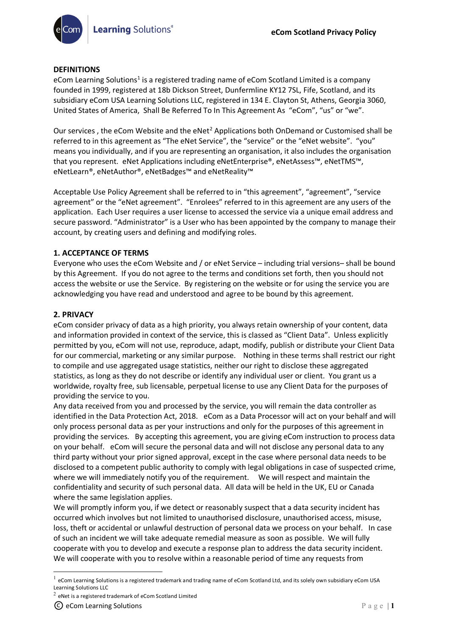# **DEFINITIONS**

eCom Learning Solutions<sup>[1](#page-0-0)</sup> is a registered trading name of eCom Scotland Limited is a company founded in 1999, registered at 18b Dickson Street, Dunfermline KY12 7SL, Fife, Scotland, and its subsidiary eCom USA Learning Solutions LLC, registered in 134 E. Clayton St, Athens, Georgia 3060, United States of America, Shall Be Referred To In This Agreement As "eCom", "us" or "we".

Our services, the eCom Website and the eNet<sup>[2](#page-0-1)</sup> Applications both OnDemand or Customised shall be referred to in this agreement as "The eNet Service", the "service" or the "eNet website". "you" means you individually, and if you are representing an organisation, it also includes the organisation that you represent. eNet Applications including eNetEnterprise®, eNetAssess™, eNetTMS™, eNetLearn®, eNetAuthor®, eNetBadges™ and eNetReality™

Acceptable Use Policy Agreement shall be referred to in "this agreement", "agreement", "service agreement" or the "eNet agreement". "Enrolees" referred to in this agreement are any users of the application. Each User requires a user license to accessed the service via a unique email address and secure password. "Administrator" is a User who has been appointed by the company to manage their account, by creating users and defining and modifying roles.

# **1. ACCEPTANCE OF TERMS**

Everyone who uses the eCom Website and / or eNet Service – including trial versions– shall be bound by this Agreement. If you do not agree to the terms and conditions set forth, then you should not access the website or use the Service. By registering on the website or for using the service you are acknowledging you have read and understood and agree to be bound by this agreement.

## **2. PRIVACY**

eCom consider privacy of data as a high priority, you always retain ownership of your content, data and information provided in context of the service, this is classed as "Client Data". Unless explicitly permitted by you, eCom will not use, reproduce, adapt, modify, publish or distribute your Client Data for our commercial, marketing or any similar purpose. Nothing in these terms shall restrict our right to compile and use aggregated usage statistics, neither our right to disclose these aggregated statistics, as long as they do not describe or identify any individual user or client. You grant us a worldwide, royalty free, sub licensable, perpetual license to use any Client Data for the purposes of providing the service to you.

Any data received from you and processed by the service, you will remain the data controller as identified in the Data Protection Act, 2018. eCom as a Data Processor will act on your behalf and will only process personal data as per your instructions and only for the purposes of this agreement in providing the services. By accepting this agreement, you are giving eCom instruction to process data on your behalf. eCom will secure the personal data and will not disclose any personal data to any third party without your prior signed approval, except in the case where personal data needs to be disclosed to a competent public authority to comply with legal obligations in case of suspected crime, where we will immediately notify you of the requirement. We will respect and maintain the confidentiality and security of such personal data. All data will be held in the UK, EU or Canada where the same legislation applies.

We will promptly inform you, if we detect or reasonably suspect that a data security incident has occurred which involves but not limited to unauthorised disclosure, unauthorised access, misuse, loss, theft or accidental or unlawful destruction of personal data we process on your behalf. In case of such an incident we will take adequate remedial measure as soon as possible. We will fully cooperate with you to develop and execute a response plan to address the data security incident. We will cooperate with you to resolve within a reasonable period of time any requests from

<span id="page-0-0"></span> $^1$  eCom Learning Solutions is a registered trademark and trading name of eCom Scotland Ltd, and its solely own subsidiary eCom USA Learning Solutions LLC

<span id="page-0-1"></span> $2$  eNet is a registered trademark of eCom Scotland Limited